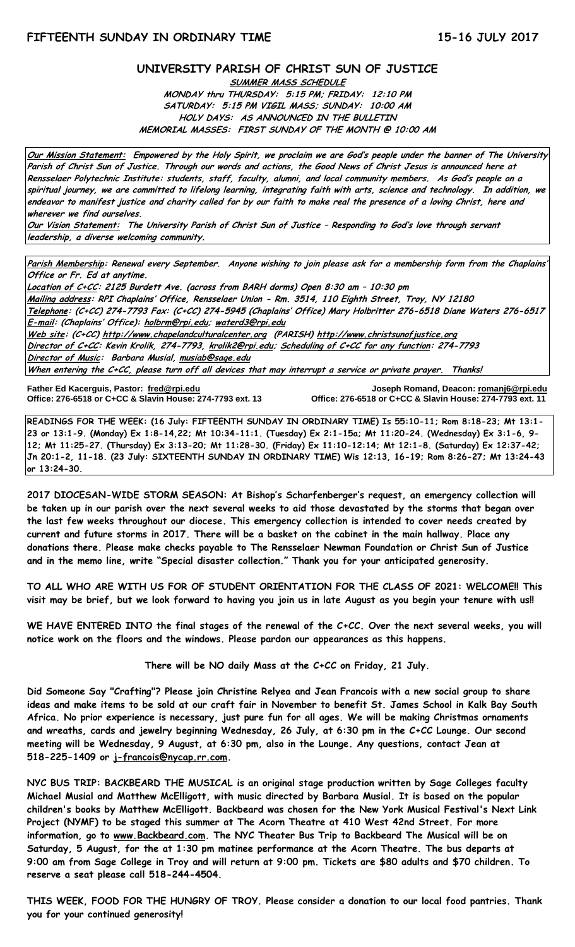#### **UNIVERSITY PARISH OF CHRIST SUN OF JUSTICE**

**SUMMER MASS SCHEDULE MONDAY thru THURSDAY: 5:15 PM; FRIDAY: 12:10 PM SATURDAY: 5:15 PM VIGIL MASS; SUNDAY: 10:00 AM HOLY DAYS: AS ANNOUNCED IN THE BULLETIN MEMORIAL MASSES: FIRST SUNDAY OF THE MONTH @ 10:00 AM**

**Our Mission Statement: Empowered by the Holy Spirit, we proclaim we are God's people under the banner of The University Parish of Christ Sun of Justice. Through our words and actions, the Good News of Christ Jesus is announced here at Rensselaer Polytechnic Institute: students, staff, faculty, alumni, and local community members. As God's people on a spiritual journey, we are committed to lifelong learning, integrating faith with arts, science and technology. In addition, we endeavor to manifest justice and charity called for by our faith to make real the presence of a loving Christ, here and wherever we find ourselves.**

**Our Vision Statement: The University Parish of Christ Sun of Justice – Responding to God's love through servant leadership, a diverse welcoming community.**

**Parish Membership: Renewal every September. Anyone wishing to join please ask for a membership form from the Chaplains' Office or Fr. Ed at anytime.**

**Location of C+CC: 2125 Burdett Ave. (across from BARH dorms) Open 8:30 am – 10:30 pm Mailing address: RPI Chaplains' Office, Rensselaer Union - Rm. 3514, 110 Eighth Street, Troy, NY 12180 Telephone: (C+CC) 274-7793 Fax: (C+CC) 274-5945 (Chaplains' Office) Mary Holbritter 276-6518 Diane Waters 276-6517 E-mail: (Chaplains' Office): [holbrm@rpi.edu;](mailto:holbrm@rpi.edu) waterd3@rpi.edu Web site: (C+CC[\) http://www.chapelandculturalcenter.org](http://www.chapelandculturalcenter.org/) (PARISH) http://www.christsunofjustice.org Director of C+CC: Kevin Krolik, 274-7793, krolik2@rpi.edu; Scheduling of C+CC for any function: 274-7793 Director of Music: Barbara Musial, [musiab@sage.edu](mailto:musiab@sage.edu) When entering the C+CC, please turn off all devices that may interrupt a service or private prayer. Thanks!** 

**Father Ed Kacerguis, Pastor: [fred@rpi.edu](mailto:fred@rpi.edu) Joseph Romand, Deacon[: romanj6@rpi.edu](mailto:romanj6@rpi.edu) Office: 276-6518 or C+CC & Slavin House: 274-7793 ext. 13** 

**READINGS FOR THE WEEK: (16 July: FIFTEENTH SUNDAY IN ORDINARY TIME) Is 55:10-11; Rom 8:18-23; Mt 13:1- 23 or 13:1-9. (Monday) Ex 1:8-14,22; Mt 10:34-11:1. (Tuesday) Ex 2:1-15a; Mt 11:20-24. (Wednesday) Ex 3:1-6, 9- 12; Mt 11:25-27. (Thursday) Ex 3:13-20; Mt 11:28-30. (Friday) Ex 11:10-12:14; Mt 12:1-8. (Saturday) Ex 12:37-42; Jn 20:1-2, 11-18. (23 July: SIXTEENTH SUNDAY IN ORDINARY TIME) Wis 12:13, 16-19; Rom 8:26-27; Mt 13:24-43 or 13:24-30.**

**2017 DIOCESAN-WIDE STORM SEASON: At Bishop's Scharfenberger's request, an emergency collection will be taken up in our parish over the next several weeks to aid those devastated by the storms that began over the last few weeks throughout our diocese. This emergency collection is intended to cover needs created by current and future storms in 2017. There will be a basket on the cabinet in the main hallway. Place any donations there. Please make checks payable to The Rensselaer Newman Foundation or Christ Sun of Justice and in the memo line, write "Special disaster collection." Thank you for your anticipated generosity.**

**TO ALL WHO ARE WITH US FOR OF STUDENT ORIENTATION FOR THE CLASS OF 2021: WELCOME!! This visit may be brief, but we look forward to having you join us in late August as you begin your tenure with us!!**

**WE HAVE ENTERED INTO the final stages of the renewal of the C+CC. Over the next several weeks, you will notice work on the floors and the windows. Please pardon our appearances as this happens.**

**There will be NO daily Mass at the C+CC on Friday, 21 July.**

**Did Someone Say "Crafting"? Please join Christine Relyea and Jean Francois with a new social group to share ideas and make items to be sold at our craft fair in November to benefit St. James School in Kalk Bay South Africa. No prior experience is necessary, just pure fun for all ages. We will be making Christmas ornaments and wreaths, cards and jewelry beginning Wednesday, 26 July, at 6:30 pm in the C+CC Lounge. Our second meeting will be Wednesday, 9 August, at 6:30 pm, also in the Lounge. Any questions, contact Jean at 518-225-1409 or [j-francois@nycap.rr.com.](mailto:j-francois@nycap.rr.com)** 

**NYC BUS TRIP: BACKBEARD THE MUSICAL is an original stage production written by Sage Colleges faculty Michael Musial and Matthew McElligott, with music directed by Barbara Musial. It is based on the popular children's books by Matthew McElligott. Backbeard was chosen for the New York Musical Festival's Next Link Project (NYMF) to be staged this summer at The Acorn Theatre at 410 West 42nd Street. For more information, go to [www.Backbeard.com.](http://www.backbeard.com/) The NYC Theater Bus Trip to Backbeard The Musical will be on Saturday, 5 August, for the at 1:30 pm matinee performance at the Acorn Theatre. The bus departs at 9:00 am from Sage College in Troy and will return at 9:00 pm. Tickets are \$80 adults and \$70 children. To reserve a seat please call 518-244-4504.**

**THIS WEEK, FOOD FOR THE HUNGRY OF TROY. Please consider a donation to our local food pantries. Thank you for your continued generosity!**